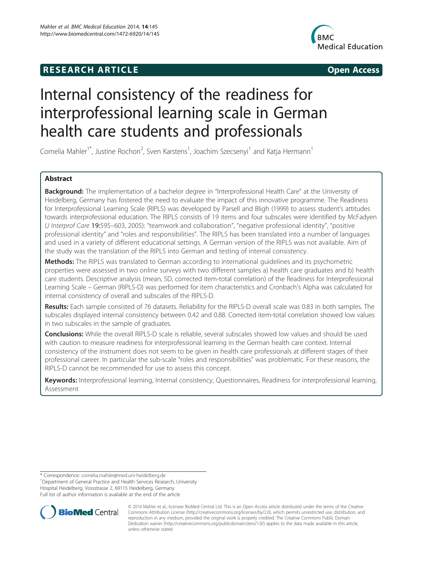# **RESEARCH ARTICLE Example 2014 The SEAR CH ACCESS**



# Internal consistency of the readiness for interprofessional learning scale in German health care students and professionals

Cornelia Mahler<sup>1\*</sup>, Justine Rochon<sup>2</sup>, Sven Karstens<sup>1</sup>, Joachim Szecsenyi<sup>1</sup> and Katja Hermann<sup>1</sup>

## Abstract

Background: The implementation of a bachelor degree in "Interprofessional Health Care" at the University of Heidelberg, Germany has fostered the need to evaluate the impact of this innovative programme. The Readiness for Interprofessional Learning Scale (RIPLS) was developed by Parsell and Bligh (1999) to assess student's attitudes towards interprofessional education. The RIPLS consists of 19 items and four subscales were identified by McFadyen (J Interprof Care 19:595–603, 2005): "teamwork and collaboration", "negative professional identity", "positive professional identity" and "roles and responsibilities". The RIPLS has been translated into a number of languages and used in a variety of different educational settings. A German version of the RIPLS was not available. Aim of the study was the translation of the RIPLS into German and testing of internal consistency.

Methods: The RIPLS was translated to German according to international guidelines and its psychometric properties were assessed in two online surveys with two different samples a) health care graduates and b) health care students. Descriptive analysis (mean, SD, corrected item-total correlation) of the Readiness for Interprofessional Learning Scale – German (RIPLS-D) was performed for item characteristics and Cronbach's Alpha was calculated for internal consistency of overall and subscales of the RIPLS-D.

Results: Each sample consisted of 76 datasets. Reliability for the RIPLS-D overall scale was 0.83 in both samples. The subscales displayed internal consistency between 0.42 and 0.88. Corrected item-total correlation showed low values in two subscales in the sample of graduates.

**Conclusions:** While the overall RIPLS-D scale is reliable, several subscales showed low values and should be used with caution to measure readiness for interprofessional learning in the German health care context. Internal consistency of the instrument does not seem to be given in health care professionals at different stages of their professional career. In particular the sub-scale "roles and responsibilities" was problematic. For these reasons, the RIPLS-D cannot be recommended for use to assess this concept.

Keywords: Interprofessional learning, Internal consistency, Questionnaires, Readiness for interprofessional learning, Assessment

\* Correspondence: [cornelia.mahler@med.uni-heidelberg.de](mailto:cornelia.mahler@med.uni-heidelberg.de) <sup>1</sup>

<sup>1</sup>Department of General Practice and Health Services Research, University Hospital Heidelberg, Vossstrasse 2, 69115 Heidelberg, Germany

Full list of author information is available at the end of the article



© 2014 Mahler et al.; licensee BioMed Central Ltd. This is an Open Access article distributed under the terms of the Creative Commons Attribution License [\(http://creativecommons.org/licenses/by/2.0\)](http://creativecommons.org/licenses/by/2.0), which permits unrestricted use, distribution, and reproduction in any medium, provided the original work is properly credited. The Creative Commons Public Domain Dedication waiver [\(http://creativecommons.org/publicdomain/zero/1.0/](http://creativecommons.org/publicdomain/zero/1.0/)) applies to the data made available in this article, unless otherwise stated.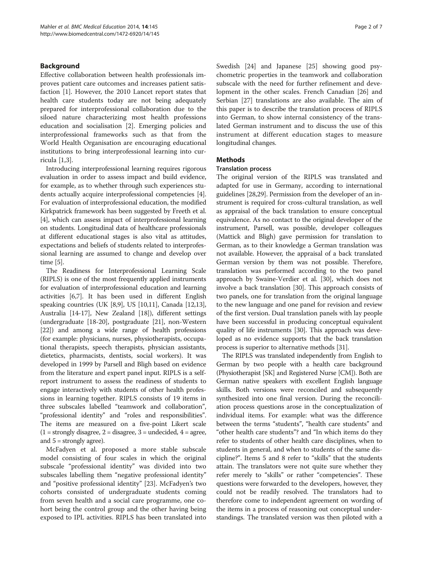#### Background

Effective collaboration between health professionals improves patient care outcomes and increases patient satisfaction [[1](#page-5-0)]. However, the 2010 Lancet report states that health care students today are not being adequately prepared for interprofessional collaboration due to the siloed nature characterizing most health professions education and socialisation [\[2\]](#page-5-0). Emerging policies and interprofessional frameworks such as that from the World Health Organisation are encouraging educational institutions to bring interprofessional learning into curricula [[1,3\]](#page-5-0).

Introducing interprofessional learning requires rigorous evaluation in order to assess impact and build evidence, for example, as to whether through such experiences students actually acquire interprofessional competencies [[4](#page-5-0)]. For evaluation of interprofessional education, the modified Kirkpatrick framework has been suggested by Freeth et al. [[4\]](#page-5-0), which can assess impact of interprofessional learning on students. Longitudinal data of healthcare professionals at different educational stages is also vital as attitudes, expectations and beliefs of students related to interprofessional learning are assumed to change and develop over time [\[5](#page-5-0)].

The Readiness for Interprofessional Learning Scale (RIPLS) is one of the most frequently applied instruments for evaluation of interprofessional education and learning activities [[6,7](#page-5-0)]. It has been used in different English speaking countries (UK [[8,9](#page-5-0)], US [\[10,11\]](#page-5-0), Canada [\[12,13](#page-5-0)], Australia [\[14-17\]](#page-5-0), New Zealand [\[18\]](#page-5-0)), different settings (undergraduate [[18](#page-5-0)-[20](#page-5-0)], postgraduate [[21](#page-5-0)], non-Western [[22](#page-5-0)]) and among a wide range of health professions (for example: physicians, nurses, physiotherapists, occupational therapists, speech therapists, physician assistants, dietetics, pharmacists, dentists, social workers). It was developed in 1999 by Parsell and Bligh based on evidence from the literature and expert panel input. RIPLS is a selfreport instrument to assess the readiness of students to engage interactively with students of other health professions in learning together. RIPLS consists of 19 items in three subscales labelled "teamwork and collaboration", "professional identity" and "roles and responsibilities". The items are measured on a five-point Likert scale  $(1 =$  strongly disagree,  $2 =$  disagree,  $3 =$  undecided,  $4 =$  agree, and  $5 =$  strongly agree).

McFadyen et al. proposed a more stable subscale model consisting of four scales in which the original subscale "professional identity" was divided into two subscales labelling them "negative professional identity" and "positive professional identity" [\[23](#page-5-0)]. McFadyen's two cohorts consisted of undergraduate students coming from seven health and a social care programme, one cohort being the control group and the other having being exposed to IPL activities. RIPLS has been translated into Swedish [[24\]](#page-5-0) and Japanese [\[25](#page-5-0)] showing good psychometric properties in the teamwork and collaboration subscale with the need for further refinement and development in the other scales. French Canadian [\[26](#page-5-0)] and Serbian [[27\]](#page-5-0) translations are also available. The aim of this paper is to describe the translation process of RIPLS into German, to show internal consistency of the translated German instrument and to discuss the use of this instrument at different education stages to measure longitudinal changes.

#### Methods

#### Translation process

The original version of the RIPLS was translated and adapted for use in Germany, according to international guidelines [\[28,29\]](#page-5-0). Permission from the developer of an instrument is required for cross-cultural translation, as well as appraisal of the back translation to ensure conceptual equivalence. As no contact to the original developer of the instrument, Parsell, was possible, developer colleagues (Mattick and Bligh) gave permission for translation to German, as to their knowledge a German translation was not available. However, the appraisal of a back translated German version by them was not possible. Therefore, translation was performed according to the two panel approach by Swaine-Verdier et al. [[30](#page-5-0)], which does not involve a back translation [[30](#page-5-0)]. This approach consists of two panels, one for translation from the original language to the new language and one panel for revision and review of the first version. Dual translation panels with lay people have been successful in producing conceptual equivalent quality of life instruments [\[30](#page-5-0)]. This approach was developed as no evidence supports that the back translation process is superior to alternative methods [[31\]](#page-5-0).

The RIPLS was translated independently from English to German by two people with a health care background (Physiotherapist [SK] and Registered Nurse [CM]). Both are German native speakers with excellent English language skills. Both versions were reconciled and subsequently synthesized into one final version. During the reconciliation process questions arose in the conceptualization of individual items. For example: what was the difference between the terms "students", "health care students" and "other health care students"? and "In which items do they refer to students of other health care disciplines, when to students in general, and when to students of the same discipline?". Items 5 and 8 refer to "skills" that the students attain. The translators were not quite sure whether they refer merely to "skills" or rather "competencies". These questions were forwarded to the developers, however, they could not be readily resolved. The translators had to therefore come to independent agreement on wording of the items in a process of reasoning out conceptual understandings. The translated version was then piloted with a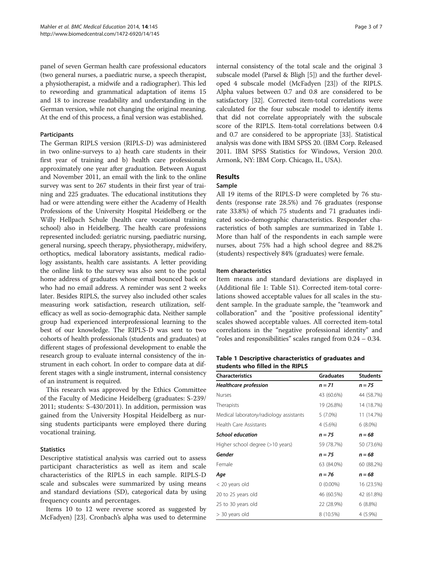panel of seven German health care professional educators (two general nurses, a paediatric nurse, a speech therapist, a physiotherapist, a midwife and a radiographer). This led to rewording and grammatical adaptation of items 15 and 18 to increase readability and understanding in the German version, while not changing the original meaning. At the end of this process, a final version was established.

#### Participants

The German RIPLS version (RIPLS-D) was administered in two online-surveys to a) heath care students in their first year of training and b) health care professionals approximately one year after graduation. Between August and November 2011, an email with the link to the online survey was sent to 267 students in their first year of training and 225 graduates. The educational institutions they had or were attending were either the Academy of Health Professions of the University Hospital Heidelberg or the Willy Hellpach Schule (health care vocational training school) also in Heidelberg. The health care professions represented included: geriatric nursing, paediatric nursing, general nursing, speech therapy, physiotherapy, midwifery, orthoptics, medical laboratory assistants, medical radiology assistants, health care assistants. A letter providing the online link to the survey was also sent to the postal home address of graduates whose email bounced back or who had no email address. A reminder was sent 2 weeks later. Besides RIPLS, the survey also included other scales measuring work satisfaction, research utilization, selfefficacy as well as socio-demographic data. Neither sample group had experienced interprofessional learning to the best of our knowledge. The RIPLS-D was sent to two cohorts of health professionals (students and graduates) at different stages of professional development to enable the research group to evaluate internal consistency of the instrument in each cohort. In order to compare data at different stages with a single instrument, internal consistency of an instrument is required.

This research was approved by the Ethics Committee of the Faculty of Medicine Heidelberg (graduates: S-239/ 2011; students: S-430/2011). In addition, permission was gained from the University Hospital Heidelberg as nursing students participants were employed there during vocational training.

#### **Statistics**

Descriptive statistical analysis was carried out to assess participant characteristics as well as item and scale characteristics of the RIPLS in each sample. RIPLS-D scale and subscales were summarized by using means and standard deviations (SD), categorical data by using frequency counts and percentages.

Items 10 to 12 were reverse scored as suggested by McFadyen) [[23](#page-5-0)]. Cronbach's alpha was used to determine internal consistency of the total scale and the original 3 subscale model (Parsel & Bligh [[5\]](#page-5-0)) and the further developed 4 subscale model (McFadyen [\[23\]](#page-5-0)) of the RIPLS. Alpha values between 0.7 and 0.8 are considered to be satisfactory [[32](#page-6-0)]. Corrected item-total correlations were calculated for the four subscale model to identify items that did not correlate appropriately with the subscale score of the RIPLS. Item-total correlations between 0.4 and 0.7 are considered to be appropriate [\[33](#page-6-0)]. Statistical analysis was done with IBM SPSS 20. (IBM Corp. Released 2011. IBM SPSS Statistics for Windows, Version 20.0. Armonk, NY: IBM Corp. Chicago, IL, USA).

## Results

#### Sample

All 19 items of the RIPLS-D were completed by 76 students (response rate 28.5%) and 76 graduates (response rate 33.8%) of which 75 students and 71 graduates indicated socio-demographic characteristics. Responder characteristics of both samples are summarized in Table 1. More than half of the respondents in each sample were nurses, about 75% had a high school degree and 88.2% (students) respectively 84% (graduates) were female.

#### Item characteristics

Item means and standard deviations are displayed in (Additional file [1](#page-5-0): Table S1). Corrected item-total correlations showed acceptable values for all scales in the student sample. In the graduate sample, the "teamwork and collaboration" and the "positive professional identity" scales showed acceptable values. All corrected item-total correlations in the "negative professional identity" and "roles and responsibilities" scales ranged from 0.24 – 0.34.

#### Table 1 Descriptive characteristics of graduates and students who filled in the RIPLS

| <b>Characteristics</b>                  | <b>Graduates</b> | <b>Students</b> |
|-----------------------------------------|------------------|-----------------|
| <b>Healthcare profession</b>            | $n = 71$         | n = 75          |
| <b>Nurses</b>                           | 43 (60.6%)       | 44 (58.7%)      |
| Therapists                              | 19 (26.8%)       | 14 (18.7%)      |
| Medical laboratory/radiology assistants | $5(7.0\%)$       | 11 (14.7%)      |
| Health Care Assistants                  | 4 (5.6%)         | $6(8.0\%)$      |
| <b>School education</b>                 | $n = 75$         | n = 68          |
| Higher school degree (>10 years)        | 59 (78.7%)       | 50 (73.6%)      |
| Gender                                  | $n = 75$         | $n = 68$        |
| Female                                  | 63 (84.0%)       | 60 (88.2%)      |
| Age                                     | $n = 76$         | $n = 68$        |
| < 20 years old                          | $0(0.00\%)$      | 16 (23.5%)      |
| 20 to 25 years old                      | 46 (60.5%)       | 42 (61.8%)      |
| 25 to 30 years old                      | 22 (28.9%)       | 6(8.8%)         |
| > 30 years old                          | 8 (10.5%)        | 4 (5.9%)        |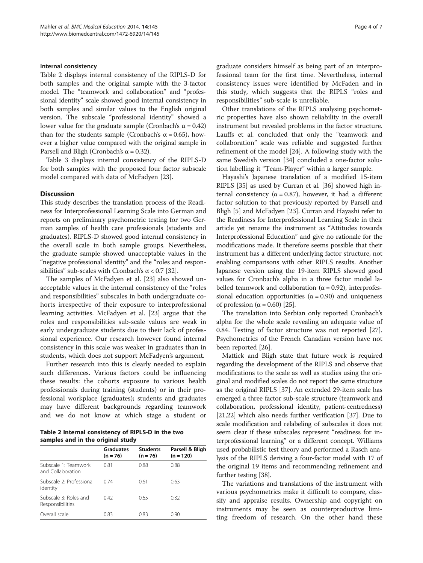#### Internal consistency

Table 2 displays internal consistency of the RIPLS-D for both samples and the original sample with the 3-factor model. The "teamwork and collaboration" and "professional identity" scale showed good internal consistency in both samples and similar values to the English original version. The subscale "professional identity" showed a lower value for the graduate sample (Cronbach's α = 0.42) than for the students sample (Cronbach's α = 0.65), however a higher value compared with the original sample in Parsell and Bligh (Cronbach's  $\alpha$  = 0.32).

Table [3](#page-4-0) displays internal consistency of the RIPLS-D for both samples with the proposed four factor subscale model compared with data of McFadyen [[23\]](#page-5-0).

#### **Discussion**

This study describes the translation process of the Readiness for Interprofessional Learning Scale into German and reports on preliminary psychometric testing for two German samples of health care professionals (students and graduates). RIPLS-D showed good internal consistency in the overall scale in both sample groups. Nevertheless, the graduate sample showed unacceptable values in the "negative professional identity" and the "roles and responsibilities" sub-scales with Cronbach's  $\alpha$  < 0.7 [\[32](#page-6-0)].

The samples of McFadyen et al. [[23](#page-5-0)] also showed unacceptable values in the internal consistency of the "roles and responsibilities" subscales in both undergraduate cohorts irrespective of their exposure to interprofessional learning activities. McFadyen et al. [\[23](#page-5-0)] argue that the roles and responsibilities sub-scale values are weak in early undergraduate students due to their lack of professional experience. Our research however found internal consistency in this scale was weaker in graduates than in students, which does not support McFadyen's argument.

Further research into this is clearly needed to explain such differences. Various factors could be influencing these results: the cohorts exposure to various health professionals during training (students) or in their professional workplace (graduates); students and graduates may have different backgrounds regarding teamwork and we do not know at which stage a student or

Table 2 Internal consistency of RIPLS-D in the two samples and in the original study

|                                           | <b>Graduates</b><br>$(n = 76)$ | <b>Students</b><br>$(n = 76)$ | Parsell & Bligh<br>$(n = 120)$ |
|-------------------------------------------|--------------------------------|-------------------------------|--------------------------------|
| Subscale 1: Teamwork<br>and Collaboration | 0.81                           | 0.88                          | 0.88                           |
| Subscale 2: Professional<br>identity      | 0.74                           | 0.61                          | 0.63                           |
| Subscale 3: Roles and<br>Responsibilities | 042                            | 0.65                          | 0.32                           |
| Overall scale                             | 0.83                           | 0.83                          | 0.90                           |

graduate considers himself as being part of an interprofessional team for the first time. Nevertheless, internal consistency issues were identified by McFaden and in this study, which suggests that the RIPLS "roles and responsibilities" sub-scale is unreliable.

Other translations of the RIPLS analysing psychometric properties have also shown reliability in the overall instrument but revealed problems in the factor structure. Lauffs et al. concluded that only the "teamwork and collaboration" scale was reliable and suggested further refinement of the model [[24\]](#page-5-0). A following study with the same Swedish version [\[34\]](#page-6-0) concluded a one-factor solution labelling it "Team-Player" within a larger sample.

Hayashi's Japanese translation of a modified 15-item RIPLS [\[35\]](#page-6-0) as used by Curran et al. [[36](#page-6-0)] showed high internal consistency ( $α = 0.87$ ), however, it had a different factor solution to that previously reported by Parsell and Bligh [\[5](#page-5-0)] and McFadyen [\[23\]](#page-5-0). Curran and Hayashi refer to the Readiness for Interprofessional Learning Scale in their article yet rename the instrument as "Attitudes towards Interprofessional Education" and give no rationale for the modifications made. It therefore seems possible that their instrument has a different underlying factor structure, not enabling comparisons with other RIPLS results. Another Japanese version using the 19-item RIPLS showed good values for Cronbach's alpha in a three factor model labelled teamwork and collaboration ( $\alpha$  = 0.92), interprofessional education opportunities ( $\alpha$  = 0.90) and uniqueness of profession ( $\alpha$  = 0.60) [[25\]](#page-5-0).

The translation into Serbian only reported Cronbach's alpha for the whole scale revealing an adequate value of 0.84. Testing of factor structure was not reported [\[27](#page-5-0)]. Psychometrics of the French Canadian version have not been reported [[26\]](#page-5-0).

Mattick and Bligh state that future work is required regarding the development of the RIPLS and observe that modifications to the scale as well as studies using the original and modified scales do not report the same structure as the original RIPLS [\[37\]](#page-6-0). An extended 29-item scale has emerged a three factor sub-scale structure (teamwork and collaboration, professional identity, patient-centredness) [[21](#page-5-0),[22](#page-5-0)] which also needs further verification [[37](#page-6-0)]. Due to scale modification and relabeling of subscales it does not seem clear if these subscales represent "readiness for interprofessional learning" or a different concept. Williams used probabilistic test theory and performed a Rasch analysis of the RIPLS deriving a four-factor model with 17 of the original 19 items and recommending refinement and further testing [\[38](#page-6-0)].

The variations and translations of the instrument with various psychometrics make it difficult to compare, classify and appraise results. Ownership and copyright on instruments may be seen as counterproductive limiting freedom of research. On the other hand these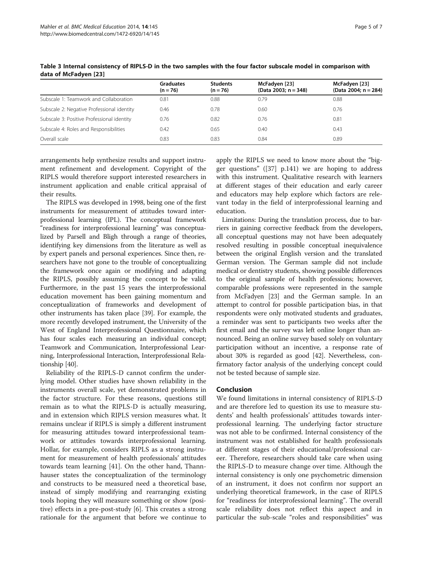|                                            | <b>Graduates</b><br>$(n = 76)$ | <b>Students</b><br>$(n = 76)$ | McFadyen [23]<br>(Data 2003; $n = 348$ ) | McFadyen [23]<br>(Data 2004; n = 284) |
|--------------------------------------------|--------------------------------|-------------------------------|------------------------------------------|---------------------------------------|
| Subscale 1: Teamwork and Collaboration     | 0.81                           | 0.88                          | 0.79                                     | 0.88                                  |
| Subscale 2: Negative Professional identity | 0.46                           | 0.78                          | 0.60                                     | 0.76                                  |
| Subscale 3: Positive Professional identity | 0.76                           | 0.82                          | 0.76                                     | 0.81                                  |
| Subscale 4: Roles and Responsibilities     | 0.42                           | 0.65                          | 0.40                                     | 0.43                                  |
| Overall scale                              | 0.83                           | 0.83                          | 0.84                                     | 0.89                                  |

<span id="page-4-0"></span>Table 3 Internal consistency of RIPLS-D in the two samples with the four factor subscale model in comparison with data of McFadyen [[23\]](#page-5-0)

arrangements help synthesize results and support instrument refinement and development. Copyright of the RIPLS would therefore support interested researchers in instrument application and enable critical appraisal of their results.

The RIPLS was developed in 1998, being one of the first instruments for measurement of attitudes toward interprofessional learning (IPL). The conceptual framework "readiness for interprofessional learning" was conceptualized by Parsell and Bligh through a range of theories, identifying key dimensions from the literature as well as by expert panels and personal experiences. Since then, researchers have not gone to the trouble of conceptualizing the framework once again or modifying and adapting the RIPLS, possibly assuming the concept to be valid. Furthermore, in the past 15 years the interprofessional education movement has been gaining momentum and conceptualization of frameworks and development of other instruments has taken place [\[39\]](#page-6-0). For example, the more recently developed instrument, the University of the West of England Interprofessional Questionnaire, which has four scales each measuring an individual concept; Teamwork and Communication, Interprofessional Learning, Interprofessional Interaction, Interprofessional Relationship [[40](#page-6-0)].

Reliability of the RIPLS-D cannot confirm the underlying model. Other studies have shown reliability in the instruments overall scale, yet demonstrated problems in the factor structure. For these reasons, questions still remain as to what the RIPLS-D is actually measuring, and in extension which RIPLS version measures what. It remains unclear if RIPLS is simply a different instrument for measuring attitudes toward interprofessional teamwork or attitudes towards interprofessional learning. Hollar, for example, considers RIPLS as a strong instrument for measurement of health professionals' attitudes towards team learning [[41](#page-6-0)]. On the other hand, Thannhauser states the conceptualization of the terminology and constructs to be measured need a theoretical base, instead of simply modifying and rearranging existing tools hoping they will measure something or show (positive) effects in a pre-post-study [\[6](#page-5-0)]. This creates a strong rationale for the argument that before we continue to apply the RIPLS we need to know more about the "bigger questions" ([[37\]](#page-6-0) p.141) we are hoping to address with this instrument. Qualitative research with learners at different stages of their education and early career and educators may help explore which factors are relevant today in the field of interprofessional learning and education.

Limitations: During the translation process, due to barriers in gaining corrective feedback from the developers, all conceptual questions may not have been adequately resolved resulting in possible conceptual inequivalence between the original English version and the translated German version. The German sample did not include medical or dentistry students, showing possible differences to the original sample of health professions; however, comparable professions were represented in the sample from McFadyen [\[23\]](#page-5-0) and the German sample. In an attempt to control for possible participation bias, in that respondents were only motivated students and graduates, a reminder was sent to participants two weeks after the first email and the survey was left online longer than announced. Being an online survey based solely on voluntary participation without an incentive, a response rate of about 30% is regarded as good [\[42\]](#page-6-0). Nevertheless, confirmatory factor analysis of the underlying concept could not be tested because of sample size.

#### Conclusion

We found limitations in internal consistency of RIPLS-D and are therefore led to question its use to measure students' and health professionals' attitudes towards interprofessional learning. The underlying factor structure was not able to be confirmed. Internal consistency of the instrument was not established for health professionals at different stages of their educational/professional career. Therefore, researchers should take care when using the RIPLS-D to measure change over time. Although the internal consistency is only one psychometric dimension of an instrument, it does not confirm nor support an underlying theoretical framework, in the case of RIPLS for "readiness for interprofessional learning". The overall scale reliability does not reflect this aspect and in particular the sub-scale "roles and responsibilities" was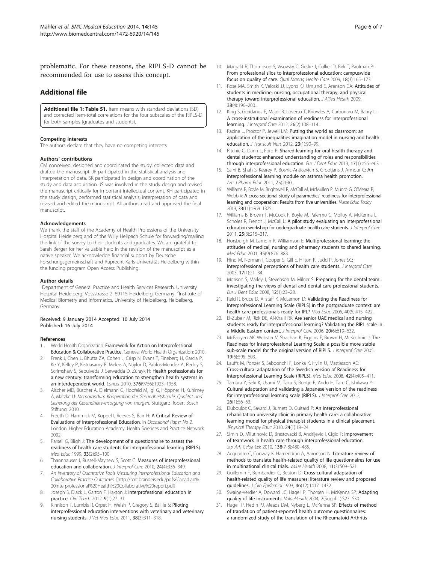<span id="page-5-0"></span>problematic. For these reasons, the RIPLS-D cannot be recommended for use to assess this concept.

#### Additional file

[Additional file 1: Table S1.](http://www.biomedcentral.com/content/supplementary/1472-6920-14-145-S1.docx) Item means with standard deviations (SD) and corrected item-total correlations for the four subscales of the RIPLS-D for both samples (graduates and students).

#### Competing interests

The authors declare that they have no competing interests.

#### Authors' contributions

CM conceived, designed and coordinated the study, collected data and drafted the manuscript. JR participated in the statistical analysis and interpretation of data. SK participated in design and coordination of the study and data acquisition. JS was involved in the study design and revised the manuscript critically for important intellectual content. KH participated in the study design, performed statistical analysis, interpretation of data and revised and edited the manuscript. All authors read and approved the final manuscript.

#### Acknowledgements

We thank the staff of the Academy of Health Professions of the University Hospital Heidelberg and of the Willy Hellpach Schule for forwarding/mailing the link of the survey to their students and graduates. We are grateful to Sarah Berger for her valuable help in the revision of the manuscript as a native speaker. We acknowledge financial support by Deutsche Forschungsgemeinschaft and Ruprecht-Karls-Universität Heidelberg within the funding program Open Access Publishing.

#### Author details

<sup>1</sup>Department of General Practice and Health Services Research, University Hospital Heidelberg, Vossstrasse 2, 69115 Heidelberg, Germany. <sup>2</sup>Institute of Medical Biometry and Informatics, University of Heidelberg, Heidelberg, Germany.

#### Received: 9 January 2014 Accepted: 10 July 2014 Published: 16 July 2014

#### References

- 1. World Health Organization: Framework for Action on Interprofessional Education & Collaborative Practice. Geneva: World Health Organization; 2010.
- Frenk J, Chen L, Bhutta ZA, Cohen J, Crisp N, Evans T, Fineberg H, Garcia P, Ke Y, Kelley P, Kistnasamy B, Meleis A, Naylor D, Pablos-Mendez A, Reddy S, Scrimshaw S, Sepulveda J, Serwadda D, Zurayk H: Health professionals for a new century: transforming education to strengthen health systems in an interdependent world. Lancet 2010, 376(9756):1923–1958.
- 3. Alscher MD, Büscher A, Dielmann G, Hopfeld M, Igl G, Höppner H, Kuhlmey A, Matzke U: Memorandum Kooperation der Gesundheitsberufe. Qualität und Sicherung der Gesundheitsversorgung von morgen. Stuttgart: Robert Bosch Stiftung; 2010.
- 4. Freeth D, Hammick M, Koppel I, Reeves S, Barr H: A Critical Review of Evaluations of Interprofessional Education. In Occasional Paper No 2. London: Higher Education Academy, Health Sciences and Practice Network; 2002.
- 5. Parsell G, Bligh J: The development of a questionnaire to assess the readiness of health care students for interprofessional learning (RIPLS). Med Educ 1999, 33(2):95–100.
- 6. Thannhauser J, Russell-Mayhew S, Scott C: Measures of interprofessional education and collaboration. J Interprof Care 2010, 24(4):336–349.
- 7. An Inventory of Quantative Tools Measuring Interprofessional Education and Collaborative Practice Outcomes. [[http://rcrc.brandeis.edu/pdfs/Canadian%](http://rcrc.brandeis.edu/pdfs/Canadian%20Interprofessional%20Health%20Collaborative%20report.pdf) [20Interprofessional%20Health%20Collaborative%20report.pdf](http://rcrc.brandeis.edu/pdfs/Canadian%20Interprofessional%20Health%20Collaborative%20report.pdf)]
- 8. Joseph S, Diack L, Garton F, Haxton J: Interprofessional education in practice. Clin Teach 2012, 9(1):27–31.
- 9. Kinnison T, Lumbis R, Orpet H, Welsh P, Gregory S, Baillie S: Piloting interprofessional education interventions with veterinary and veterinary nursing students. J Vet Med Educ 2011, 38(3):311–318.
- 10. Margalit R, Thompson S, Visovsky C, Geske J, Collier D, Birk T, Paulman P: From professional silos to interprofessional education: campuswide focus on quality of care. Qual Manag Health Care 2009, 18(3):165–173.
- 11. Rose MA, Smith K, Veloski JJ, Lyons KJ, Umland E, Arenson CA: Attitudes of students in medicine, nursing, occupational therapy, and physical therapy toward interprofessional education. J Allied Health 2009, 38(4):196–200.
- 12. King S, Greidanus E, Major R, Loverso T, Knowles A, Carbonaro M, Bahry L: A cross-institutional examination of readiness for interprofessional learning. J Interprof Care 2012, 26(2):108–114.
- 13. Racine L, Proctor P, Jewell LM: Putting the world as classroom: an application of the inequalities imagination model in nursing and health education. J Transcult Nurs 2012, 23(1):90–99.
- 14. Ritchie C, Dann L, Ford P: Shared learning for oral health therapy and dental students: enhanced understanding of roles and responsibilities through interprofessional education. Eur J Dent Educ 2013, 17(1):e56-e63.
- 15. Saini B, Shah S, Kearey P, Bosnic-Anticevich S, Grootjans J, Armour C: An interprofessional learning module on asthma health promotion. Am J Pharm Educ 2011, 75(2):30.
- 16. Williams B, Boyle M, Brightwell R, McCall M, McMullen P, Munro G, O'Meara P, Webb V: A cross-sectional study of paramedics' readiness for interprofessional learning and cooperation: Results from five universities. Nurse Educ Today 2013, 33(11):1369–1375.
- 17. Williams B, Brown T, McCook F, Boyle M, Palermo C, Molloy A, McKenna L, Scholes R, French J, McCall L: A pilot study evaluating an interprofessional education workshop for undergraduate health care students. J Interprof Care 2011, 25(3):215–217.
- 18. Horsburgh M, Lamdin R, Williamson E: Multiprofessional learning: the attitudes of medical, nursing and pharmacy students to shared learning. Med Educ 2001, 35(9):876–883.
- 19. Hind M, Norman I, Cooper S, Gill E, Hilton R, Judd P, Jones SC: Interprofessional perceptions of health care students. J Interprof Care 2003, 17(1):21–34.
- 20. Morison S, Marley J, Stevenson M, Milner S: Preparing for the dental team: investigating the views of dental and dental care professional students. Eur J Dent Educ 2008, 12(1):23–28.
- 21. Reid R, Bruce D, Allstaff K, McLernon D: Validating the Readiness for Interprofessional Learning Scale (RIPLS) in the postgraduate context: are health care professionals ready for IPL? Med Educ 2006, 40(5):415–422.
- 22. El-Zubeir M, Rizk DE, Al-Khalil RK: Are senior UAE medical and nursing students ready for interprofessional learning? Validating the RIPL scale in a Middle Eastern context. J Interprof Care 2006, 20(6):619–632.
- 23. McFadyen AK, Webster V, Strachan K, Figgins E, Brown H, McKechnie J: The Readiness for Interprofessional Learning Scale: a possible more stable sub-scale model for the original version of RIPLS. J Interprof Care 2005, 19(6):595–603.
- 24. Lauffs M, Ponzer S, Saboonchi F, Lonka K, Hylin U, Mattiasson AC: Cross-cultural adaptation of the Swedish version of Readiness for Interprofessional Learning Scale (RIPLS). Med Educ 2008, 42(4):405–411.
- 25. Tamura Y, Seki K, Usami M, Taku S, Bontje P, Ando H, Taru C, Ishikawa Y: Cultural adaptation and validating a Japanese version of the readiness for interprofessional learning scale (RIPLS). J Interprof Care 2012, 26(1):56–63.
- 26. Dubouloz C, Savard J, Burnett D, Guitard P: An interprofessional rehabilitation university clinic in primary health care: a collaborative learning model for physical therapist students in a clinical placement. JPhysical Therapy Educ 2010, 24(1):19-24.
- 27. Simin D, Milutinovic D, Brestovacki B, Andrijevic I, Cigic T: Improvement of teamwork in health care through interprofessional education. Srp Arh Celok Lek 2010, 138(7-8):480–485.
- 28. Acquadro C, Conway K, Hareendran A, Aaronson N: Literature review of methods to translate health-related quality of life questionnaires for use in multinational clinical trials. Value Health 2008, 11(3):509–521.
- 29. Guillemin F, Bombardier C, Beaton D: Cross-cultural adaptation of health-related quality of life measures: literature review and proposed guidelines. J Clin Epidemiol 1993, 46(12):1417–1432.
- 30. Swaine-Verdier A, Doward LC, Hagell P, Thorsen H, McKenna SP: Adapting quality of life instruments. ValueHealth 2004, 7(Suppl 1):S27-S30.
- 31. Hagell P, Hedin PJ, Meads DM, Nyberg L, McKenna SP: Effects of method of translation of patient-reported health outcome questionnaires: a randomized study of the translation of the Rheumatoid Arthritis